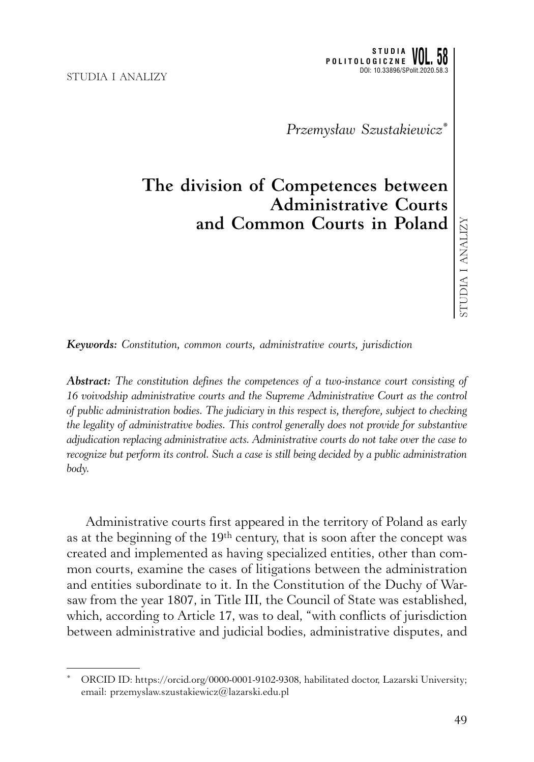*Przemysław Szustakiewicz\**

## **The division of Competences between Administrative Courts and Common Courts in Poland**

*Keywords: Constitution, common courts, administrative courts, jurisdiction*

*Abstract: The constitution defines the competences of a two-instance court consisting of 16 voivodship administrative courts and the Supreme Administrative Court as the control of public administration bodies. The judiciary in this respect is, therefore, subject to checking the legality of administrative bodies. This control generally does not provide for substantive adjudication replacing administrative acts. Administrative courts do not take over the case to recognize but perform its control. Such a case is still being decided by a public administration body.*

Administrative courts first appeared in the territory of Poland as early as at the beginning of the 19th century, that is soon after the concept was created and implemented as having specialized entities, other than common courts, examine the cases of litigations between the administration and entities subordinate to it. In the Constitution of the Duchy of Warsaw from the year 1807, in Title III, the Council of State was established, which, according to Article 17, was to deal, "with conflicts of jurisdiction between administrative and judicial bodies, administrative disputes, and

ORCID ID: https://orcid.org/0000-0001-9102-9308, habilitated doctor, Lazarski University; email: przemyslaw.szustakiewicz@lazarski.edu.pl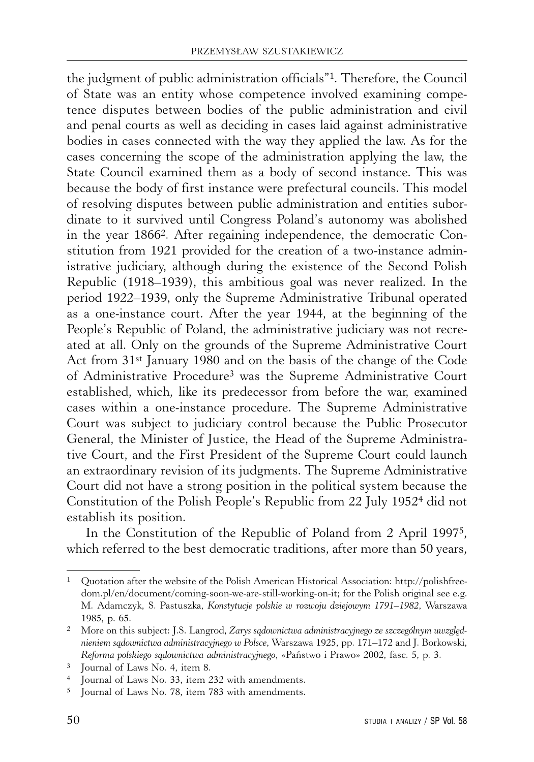the judgment of public administration officials"1. Therefore, the Council of State was an entity whose competence involved examining competence disputes between bodies of the public administration and civil and penal courts as well as deciding in cases laid against administrative bodies in cases connected with the way they applied the law. As for the cases concerning the scope of the administration applying the law, the State Council examined them as a body of second instance. This was because the body of first instance were prefectural councils. This model of resolving disputes between public administration and entities subordinate to it survived until Congress Poland's autonomy was abolished in the year 18662. After regaining independence, the democratic Constitution from 1921 provided for the creation of a two-instance administrative judiciary, although during the existence of the Second Polish Republic (1918–1939), this ambitious goal was never realized. In the period 1922–1939, only the Supreme Administrative Tribunal operated as a one-instance court. After the year 1944, at the beginning of the People's Republic of Poland, the administrative judiciary was not recreated at all. Only on the grounds of the Supreme Administrative Court Act from 31st January 1980 and on the basis of the change of the Code of Administrative Procedure3 was the Supreme Administrative Court established, which, like its predecessor from before the war, examined cases within a one-instance procedure. The Supreme Administrative Court was subject to judiciary control because the Public Prosecutor General, the Minister of Justice, the Head of the Supreme Administrative Court, and the First President of the Supreme Court could launch an extraordinary revision of its judgments. The Supreme Administrative Court did not have a strong position in the political system because the Constitution of the Polish People's Republic from 22 July 19524 did not establish its position.

In the Constitution of the Republic of Poland from 2 April 19975, which referred to the best democratic traditions, after more than 50 years,

<sup>1</sup> Quotation after the website of the Polish American Historical Association: http://polishfreedom.pl/en/document/coming-soon-we-are-still-working-on-it; for the Polish original see e.g. M. Adamczyk, S. Pastuszka, *Konstytucje polskie w rozwoju dziejowym 1791–1982*, Warszawa 1985, p. 65.

<sup>2</sup> More on this subject: J.S. Langrod, *Zarys sądownictwa administracyjnego ze szczególnym uwzględnieniem sądownictwa administracyjnego w Polsce*, Warszawa 1925, pp. 171–172 and J. Borkowski, *Reforma polskiego sądownictwa administracyjnego*, «Państwo i Prawo» 2002, fasc. 5, p. 3.

<sup>3</sup> Journal of Laws No. 4, item 8.

<sup>4</sup> Journal of Laws No. 33, item 232 with amendments.

<sup>5</sup> Journal of Laws No. 78, item 783 with amendments.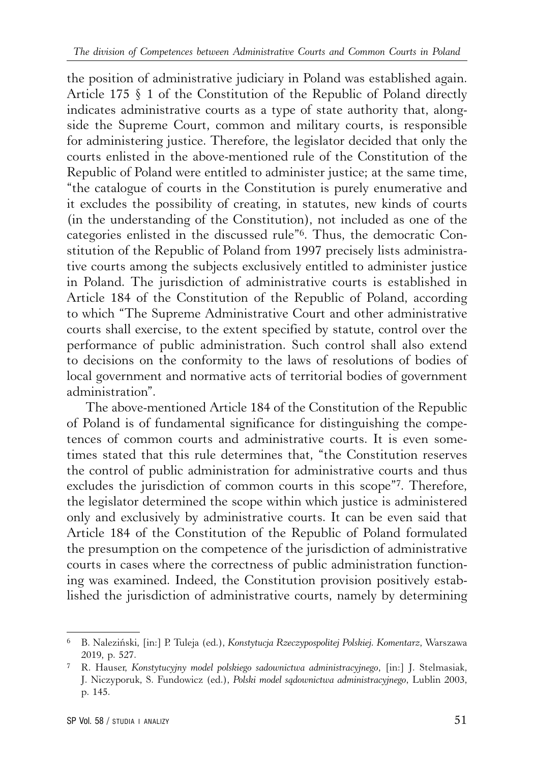the position of administrative judiciary in Poland was established again. Article 175 § 1 of the Constitution of the Republic of Poland directly indicates administrative courts as a type of state authority that, alongside the Supreme Court, common and military courts, is responsible for administering justice. Therefore, the legislator decided that only the courts enlisted in the above-mentioned rule of the Constitution of the Republic of Poland were entitled to administer justice; at the same time, "the catalogue of courts in the Constitution is purely enumerative and it excludes the possibility of creating, in statutes, new kinds of courts (in the understanding of the Constitution), not included as one of the categories enlisted in the discussed rule"6. Thus, the democratic Constitution of the Republic of Poland from 1997 precisely lists administrative courts among the subjects exclusively entitled to administer justice in Poland. The jurisdiction of administrative courts is established in Article 184 of the Constitution of the Republic of Poland, according to which "The Supreme Administrative Court and other administrative courts shall exercise, to the extent specified by statute, control over the performance of public administration. Such control shall also extend to decisions on the conformity to the laws of resolutions of bodies of local government and normative acts of territorial bodies of government administration".

The above-mentioned Article 184 of the Constitution of the Republic of Poland is of fundamental significance for distinguishing the competences of common courts and administrative courts. It is even sometimes stated that this rule determines that, "the Constitution reserves the control of public administration for administrative courts and thus excludes the jurisdiction of common courts in this scope"7. Therefore, the legislator determined the scope within which justice is administered only and exclusively by administrative courts. It can be even said that Article 184 of the Constitution of the Republic of Poland formulated the presumption on the competence of the jurisdiction of administrative courts in cases where the correctness of public administration functioning was examined. Indeed, the Constitution provision positively established the jurisdiction of administrative courts, namely by determining

<sup>6</sup> B. Naleziński, [in:] P. Tuleja (ed.), *Konstytucja Rzeczypospolitej Polskiej. Komentarz*, Warszawa 2019, p. 527.

<sup>7</sup> R. Hauser, *Konstytucyjny model polskiego sadownictwa administracyjnego*, [in:] J. Stelmasiak, J. Niczyporuk, S. Fundowicz (ed.), *Polski model sądownictwa administracyjnego*, Lublin 2003, p. 145.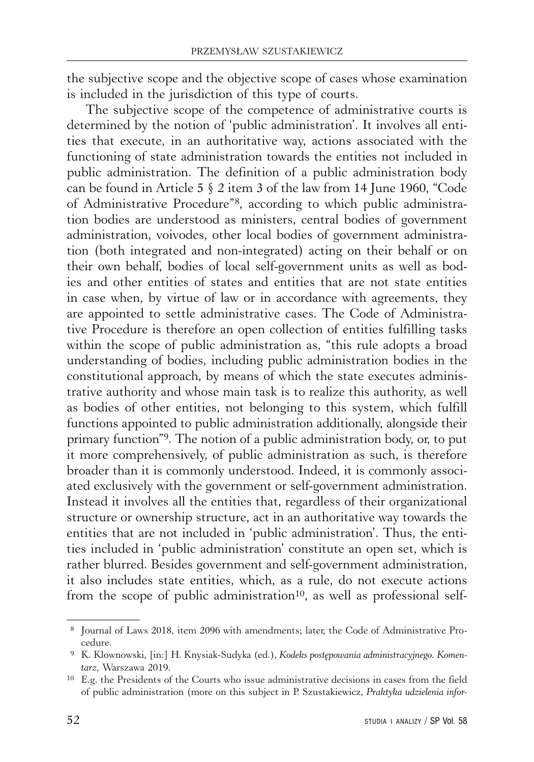the subjective scope and the objective scope of cases whose examination is included in the jurisdiction of this type of courts.

The subjective scope of the competence of administrative courts is determined by the notion of 'public administration'. It involves all entities that execute, in an authoritative way, actions associated with the functioning of state administration towards the entities not included in public administration. The definition of a public administration body can be found in Article 5 § 2 item 3 of the law from 14 June 1960, "Code of Administrative Procedure"8, according to which public administration bodies are understood as ministers, central bodies of government administration, voivodes, other local bodies of government administration (both integrated and non-integrated) acting on their behalf or on their own behalf, bodies of local self-government units as well as bodies and other entities of states and entities that are not state entities in case when, by virtue of law or in accordance with agreements, they are appointed to settle administrative cases. The Code of Administrative Procedure is therefore an open collection of entities fulfilling tasks within the scope of public administration as, "this rule adopts a broad understanding of bodies, including public administration bodies in the constitutional approach, by means of which the state executes administrative authority and whose main task is to realize this authority, as well as bodies of other entities, not belonging to this system, which fulfill functions appointed to public administration additionally, alongside their primary function"9. The notion of a public administration body, or, to put it more comprehensively, of public administration as such, is therefore broader than it is commonly understood. Indeed, it is commonly associated exclusively with the government or self-government administration. Instead it involves all the entities that, regardless of their organizational structure or ownership structure, act in an authoritative way towards the entities that are not included in 'public administration'. Thus, the entities included in 'public administration' constitute an open set, which is rather blurred. Besides government and self-government administration, it also includes state entities, which, as a rule, do not execute actions from the scope of public administration<sup>10</sup>, as well as professional self-

 <sup>8</sup> Journal of Laws 2018, item 2096 with amendments; later, the Code of Administrative Pro-

cedure. 9 K. Klownowski, [in:] H. Knysiak-Sudyka (ed.), *Kodeks postępowania administracyjnego. Komentarz*, Warszawa 2019.

<sup>10</sup> E.g. the Presidents of the Courts who issue administrative decisions in cases from the field of public administration (more on this subject in P. Szustakiewicz, *Praktyka udzielenia infor-*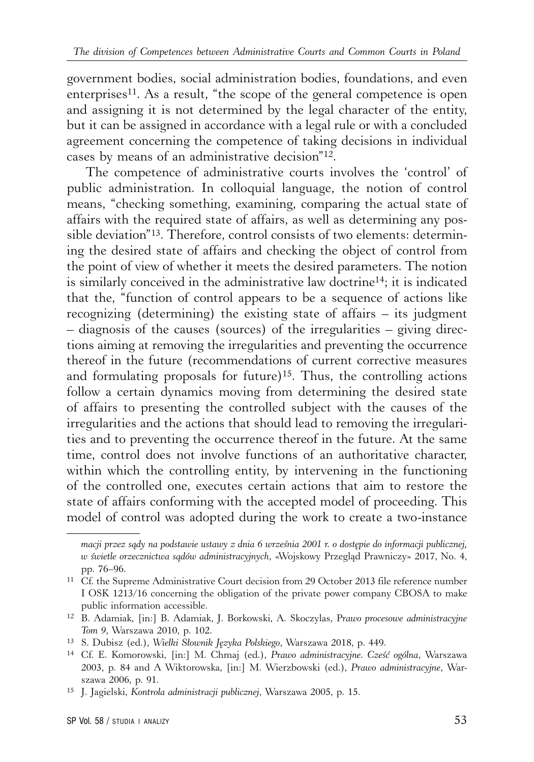government bodies, social administration bodies, foundations, and even enterprises<sup>11</sup>. As a result, "the scope of the general competence is open and assigning it is not determined by the legal character of the entity, but it can be assigned in accordance with a legal rule or with a concluded agreement concerning the competence of taking decisions in individual cases by means of an administrative decision"12.

The competence of administrative courts involves the 'control' of public administration. In colloquial language, the notion of control means, "checking something, examining, comparing the actual state of affairs with the required state of affairs, as well as determining any possible deviation"13. Therefore, control consists of two elements: determining the desired state of affairs and checking the object of control from the point of view of whether it meets the desired parameters. The notion is similarly conceived in the administrative law doctrine14; it is indicated that the, "function of control appears to be a sequence of actions like recognizing (determining) the existing state of affairs – its judgment – diagnosis of the causes (sources) of the irregularities – giving directions aiming at removing the irregularities and preventing the occurrence thereof in the future (recommendations of current corrective measures and formulating proposals for future)15. Thus, the controlling actions follow a certain dynamics moving from determining the desired state of affairs to presenting the controlled subject with the causes of the irregularities and the actions that should lead to removing the irregularities and to preventing the occurrence thereof in the future. At the same time, control does not involve functions of an authoritative character, within which the controlling entity, by intervening in the functioning of the controlled one, executes certain actions that aim to restore the state of affairs conforming with the accepted model of proceeding. This model of control was adopted during the work to create a two-instance

*macji przez sądy na podstawie ustawy z dnia 6 września 2001 r. o dostępie do informacji publicznej, w świetle orzecznictwa sądów administracyjnych*, «Wojskowy Przegląd Prawniczy» 2017, No. 4, pp. 76–96.

<sup>11</sup> Cf. the Supreme Administrative Court decision from 29 October 2013 file reference number I OSK 1213/16 concerning the obligation of the private power company CBOSA to make public information accessible.

<sup>12</sup> B. Adamiak, [in:] B. Adamiak, J. Borkowski, A. Skoczylas, P*rawo procesowe administracyjne Tom 9*, Warszawa 2010, p. 102.

<sup>13</sup> S. Dubisz (ed.), *Wielki Słownik Języka Polskiego*, Warszawa 2018, p. 449.

<sup>14</sup> Cf. E. Komorowski, [in:] M. Chmaj (ed.), *Prawo administracyjne. Cześć ogólna*, Warszawa 2003, p. 84 and A Wiktorowska, [in:] M. Wierzbowski (ed.), *Prawo administracyjne*, Warszawa 2006, p. 91.

<sup>15</sup> J. Jagielski, *Kontrola administracji publicznej*, Warszawa 2005, p. 15.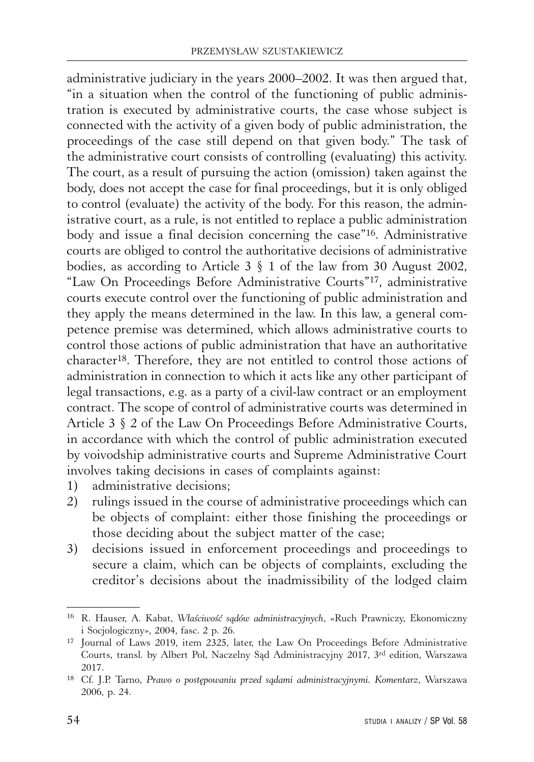administrative judiciary in the years 2000–2002. It was then argued that, "in a situation when the control of the functioning of public administration is executed by administrative courts, the case whose subject is connected with the activity of a given body of public administration, the proceedings of the case still depend on that given body." The task of the administrative court consists of controlling (evaluating) this activity. The court, as a result of pursuing the action (omission) taken against the body, does not accept the case for final proceedings, but it is only obliged to control (evaluate) the activity of the body. For this reason, the administrative court, as a rule, is not entitled to replace a public administration body and issue a final decision concerning the case"16. Administrative courts are obliged to control the authoritative decisions of administrative bodies, as according to Article 3 § 1 of the law from 30 August 2002, "Law On Proceedings Before Administrative Courts"17, administrative courts execute control over the functioning of public administration and they apply the means determined in the law. In this law, a general competence premise was determined, which allows administrative courts to control those actions of public administration that have an authoritative character18. Therefore, they are not entitled to control those actions of administration in connection to which it acts like any other participant of legal transactions, e.g. as a party of a civil-law contract or an employment contract. The scope of control of administrative courts was determined in Article 3 § 2 of the Law On Proceedings Before Administrative Courts, in accordance with which the control of public administration executed by voivodship administrative courts and Supreme Administrative Court involves taking decisions in cases of complaints against:

- 1) administrative decisions;
- 2) rulings issued in the course of administrative proceedings which can be objects of complaint: either those finishing the proceedings or those deciding about the subject matter of the case;
- 3) decisions issued in enforcement proceedings and proceedings to secure a claim, which can be objects of complaints, excluding the creditor's decisions about the inadmissibility of the lodged claim

<sup>16</sup> R. Hauser, A. Kabat, *Właściwość sądów administracyjnych*, «Ruch Prawniczy, Ekonomiczny i Socjologiczny», 2004, fasc. 2 p. 26.

<sup>17</sup> Journal of Laws 2019, item 2325, later, the Law On Proceedings Before Administrative Courts, transl. by Albert Pol, Naczelny Sąd Administracyjny 2017, 3rd edition, Warszawa 2017.

<sup>18</sup> Cf. J.P. Tarno, *Prawo o postępowaniu przed sądami administracyjnymi. Komentarz*, Warszawa 2006, p. 24.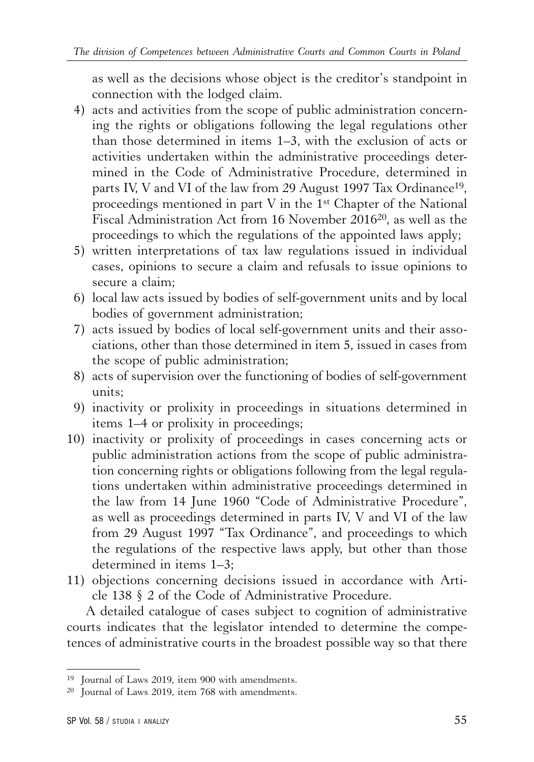as well as the decisions whose object is the creditor's standpoint in connection with the lodged claim.

- 4) acts and activities from the scope of public administration concerning the rights or obligations following the legal regulations other than those determined in items 1–3, with the exclusion of acts or activities undertaken within the administrative proceedings determined in the Code of Administrative Procedure, determined in parts IV, V and VI of the law from 29 August 1997 Tax Ordinance<sup>19</sup>, proceedings mentioned in part V in the 1st Chapter of the National Fiscal Administration Act from 16 November 201620, as well as the proceedings to which the regulations of the appointed laws apply;
- 5) written interpretations of tax law regulations issued in individual cases, opinions to secure a claim and refusals to issue opinions to secure a claim;
- 6) local law acts issued by bodies of self-government units and by local bodies of government administration;
- 7) acts issued by bodies of local self-government units and their associations, other than those determined in item 5, issued in cases from the scope of public administration;
- 8) acts of supervision over the functioning of bodies of self-government units;
- 9) inactivity or prolixity in proceedings in situations determined in items 1–4 or prolixity in proceedings;
- 10) inactivity or prolixity of proceedings in cases concerning acts or public administration actions from the scope of public administration concerning rights or obligations following from the legal regulations undertaken within administrative proceedings determined in the law from 14 June 1960 "Code of Administrative Procedure", as well as proceedings determined in parts IV, V and VI of the law from 29 August 1997 "Tax Ordinance", and proceedings to which the regulations of the respective laws apply, but other than those determined in items 1–3;
- 11) objections concerning decisions issued in accordance with Article 138 § 2 of the Code of Administrative Procedure.

A detailed catalogue of cases subject to cognition of administrative courts indicates that the legislator intended to determine the competences of administrative courts in the broadest possible way so that there

<sup>19</sup> Journal of Laws 2019, item 900 with amendments.

<sup>20</sup> Journal of Laws 2019, item 768 with amendments.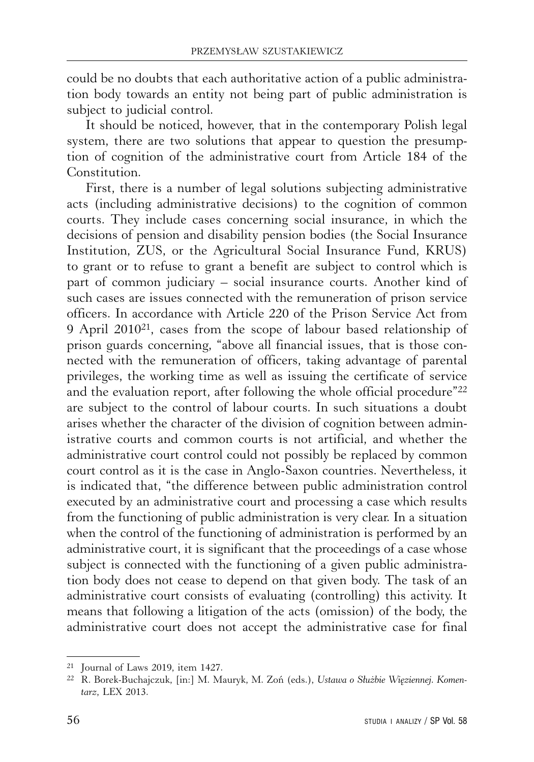could be no doubts that each authoritative action of a public administration body towards an entity not being part of public administration is subject to judicial control.

It should be noticed, however, that in the contemporary Polish legal system, there are two solutions that appear to question the presumption of cognition of the administrative court from Article 184 of the Constitution.

First, there is a number of legal solutions subjecting administrative acts (including administrative decisions) to the cognition of common courts. They include cases concerning social insurance, in which the decisions of pension and disability pension bodies (the Social Insurance Institution, ZUS, or the Agricultural Social Insurance Fund, KRUS) to grant or to refuse to grant a benefit are subject to control which is part of common judiciary – social insurance courts. Another kind of such cases are issues connected with the remuneration of prison service officers. In accordance with Article 220 of the Prison Service Act from 9 April 201021, cases from the scope of labour based relationship of prison guards concerning, "above all financial issues, that is those connected with the remuneration of officers, taking advantage of parental privileges, the working time as well as issuing the certificate of service and the evaluation report, after following the whole official procedure"22 are subject to the control of labour courts. In such situations a doubt arises whether the character of the division of cognition between administrative courts and common courts is not artificial, and whether the administrative court control could not possibly be replaced by common court control as it is the case in Anglo-Saxon countries. Nevertheless, it is indicated that, "the difference between public administration control executed by an administrative court and processing a case which results from the functioning of public administration is very clear. In a situation when the control of the functioning of administration is performed by an administrative court, it is significant that the proceedings of a case whose subject is connected with the functioning of a given public administration body does not cease to depend on that given body. The task of an administrative court consists of evaluating (controlling) this activity. It means that following a litigation of the acts (omission) of the body, the administrative court does not accept the administrative case for final

<sup>21</sup> Journal of Laws 2019, item 1427.

<sup>22</sup> R. Borek-Buchajczuk, [in:] M. Mauryk, M. Zoń (eds.), *Ustawa o Służbie Więziennej. Komentarz*, LEX 2013.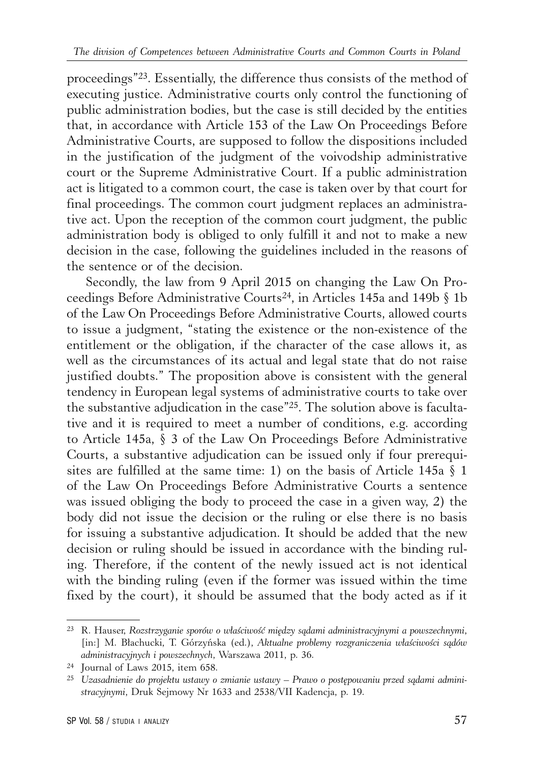proceedings"23. Essentially, the difference thus consists of the method of executing justice. Administrative courts only control the functioning of public administration bodies, but the case is still decided by the entities that, in accordance with Article 153 of the Law On Proceedings Before Administrative Courts, are supposed to follow the dispositions included in the justification of the judgment of the voivodship administrative court or the Supreme Administrative Court. If a public administration act is litigated to a common court, the case is taken over by that court for final proceedings. The common court judgment replaces an administrative act. Upon the reception of the common court judgment, the public administration body is obliged to only fulfill it and not to make a new decision in the case, following the guidelines included in the reasons of the sentence or of the decision.

Secondly, the law from 9 April 2015 on changing the Law On Proceedings Before Administrative Courts24, in Articles 145a and 149b § 1b of the Law On Proceedings Before Administrative Courts, allowed courts to issue a judgment, "stating the existence or the non-existence of the entitlement or the obligation, if the character of the case allows it, as well as the circumstances of its actual and legal state that do not raise justified doubts." The proposition above is consistent with the general tendency in European legal systems of administrative courts to take over the substantive adjudication in the case"25. The solution above is facultative and it is required to meet a number of conditions, e.g. according to Article 145a, § 3 of the Law On Proceedings Before Administrative Courts, a substantive adjudication can be issued only if four prerequisites are fulfilled at the same time: 1) on the basis of Article 145a § 1 of the Law On Proceedings Before Administrative Courts a sentence was issued obliging the body to proceed the case in a given way, 2) the body did not issue the decision or the ruling or else there is no basis for issuing a substantive adjudication. It should be added that the new decision or ruling should be issued in accordance with the binding ruling. Therefore, if the content of the newly issued act is not identical with the binding ruling (even if the former was issued within the time fixed by the court), it should be assumed that the body acted as if it

<sup>23</sup> R. Hauser, *Rozstrzyganie sporów o właściwość między sądami administracyjnymi a powszechnymi*, [in:] M. Błachucki, T. Górzyńska (ed.), *Aktualne problemy rozgraniczenia właściwości sądów administracyjnych i powszechnych*, Warszawa 2011, p. 36.

<sup>24</sup> Journal of Laws 2015, item 658.

<sup>25</sup> *Uzasadnienie do projektu ustawy o zmianie ustawy – Prawo o postępowaniu przed sądami administracyjnymi*, Druk Sejmowy Nr 1633 and 2538/VII Kadencja, p. 19.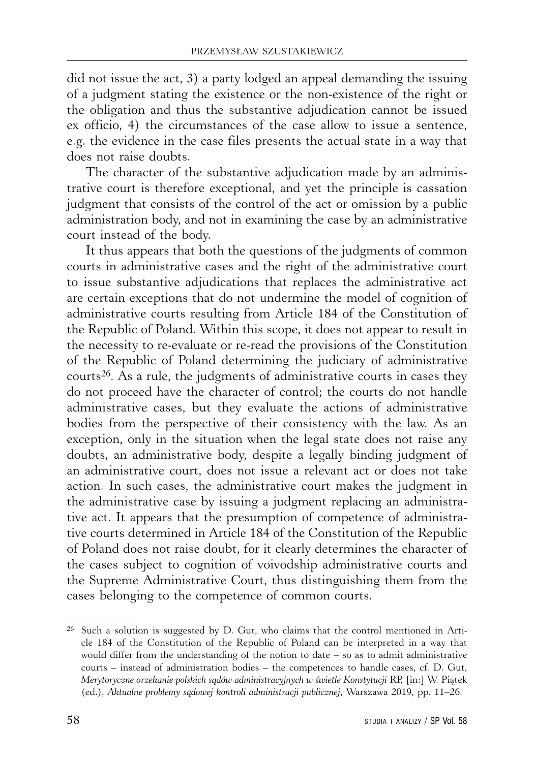did not issue the act, 3) a party lodged an appeal demanding the issuing of a judgment stating the existence or the non-existence of the right or the obligation and thus the substantive adjudication cannot be issued ex officio, 4) the circumstances of the case allow to issue a sentence, e.g. the evidence in the case files presents the actual state in a way that does not raise doubts.

The character of the substantive adjudication made by an administrative court is therefore exceptional, and yet the principle is cassation judgment that consists of the control of the act or omission by a public administration body, and not in examining the case by an administrative court instead of the body.

It thus appears that both the questions of the judgments of common courts in administrative cases and the right of the administrative court to issue substantive adjudications that replaces the administrative act are certain exceptions that do not undermine the model of cognition of administrative courts resulting from Article 184 of the Constitution of the Republic of Poland. Within this scope, it does not appear to result in the necessity to re-evaluate or re-read the provisions of the Constitution of the Republic of Poland determining the judiciary of administrative courts26. As a rule, the judgments of administrative courts in cases they do not proceed have the character of control; the courts do not handle administrative cases, but they evaluate the actions of administrative bodies from the perspective of their consistency with the law. As an exception, only in the situation when the legal state does not raise any doubts, an administrative body, despite a legally binding judgment of an administrative court, does not issue a relevant act or does not take action. In such cases, the administrative court makes the judgment in the administrative case by issuing a judgment replacing an administrative act. It appears that the presumption of competence of administrative courts determined in Article 184 of the Constitution of the Republic of Poland does not raise doubt, for it clearly determines the character of the cases subject to cognition of voivodship administrative courts and the Supreme Administrative Court, thus distinguishing them from the cases belonging to the competence of common courts.

 $26$  Such a solution is suggested by D. Gut, who claims that the control mentioned in Article 184 of the Constitution of the Republic of Poland can be interpreted in a way that would differ from the understanding of the notion to date – so as to admit administrative courts – instead of administration bodies – the competences to handle cases, cf. D. Gut, *Merytoryczne orzekanie polskich sądów administracyjnych w świetle Konstytucji* RP, [in:] W. Piątek (ed.), *Aktualne problemy sądowej kontroli administracji publicznej*, Warszawa 2019, pp. 11–26.